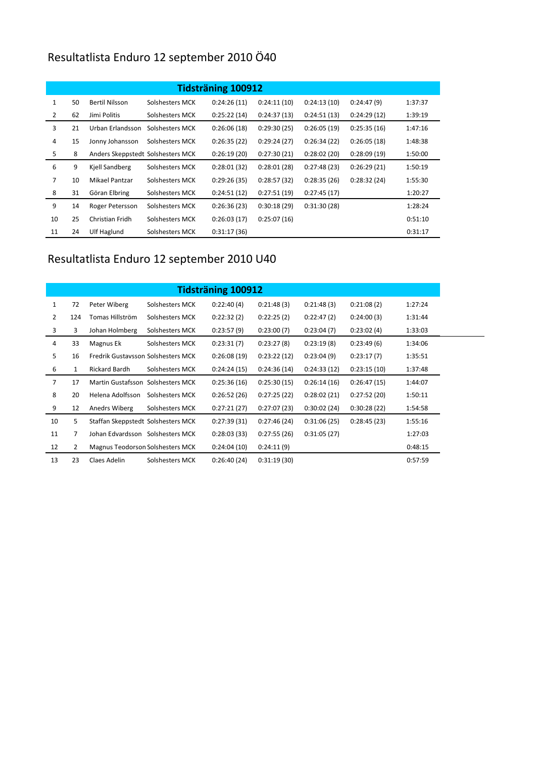## Resultatlista Enduro 12 september 2010 Ö40

| <b>Tidsträning 100912</b> |    |                                   |                 |             |             |             |             |         |  |  |
|---------------------------|----|-----------------------------------|-----------------|-------------|-------------|-------------|-------------|---------|--|--|
| $\mathbf{1}$              | 50 | <b>Bertil Nilsson</b>             | Solshesters MCK | 0:24:26(11) | 0:24:11(10) | 0:24:13(10) | 0:24:47(9)  | 1:37:37 |  |  |
| $\overline{2}$            | 62 | Jimi Politis                      | Solshesters MCK | 0:25:22(14) | 0:24:37(13) | 0:24:51(13) | 0:24:29(12) | 1:39:19 |  |  |
| 3                         | 21 | Urban Erlandsson                  | Solshesters MCK | 0:26:06(18) | 0:29:30(25) | 0:26:05(19) | 0:25:35(16) | 1:47:16 |  |  |
| $\overline{4}$            | 15 | Jonny Johansson                   | Solshesters MCK | 0:26:35(22) | 0:29:24(27) | 0:26:34(22) | 0:26:05(18) | 1:48:38 |  |  |
| 5                         | 8  | Anders Skeppstedt Solshesters MCK |                 | 0:26:19(20) | 0:27:30(21) | 0:28:02(20) | 0:28:09(19) | 1:50:00 |  |  |
| 6                         | 9  | Kjell Sandberg                    | Solshesters MCK | 0:28:01(32) | 0:28:01(28) | 0:27:48(23) | 0:26:29(21) | 1:50:19 |  |  |
| 7                         | 10 | Mikael Pantzar                    | Solshesters MCK | 0:29:26(35) | 0:28:57(32) | 0:28:35(26) | 0:28:32(24) | 1:55:30 |  |  |
| 8                         | 31 | Göran Elbring                     | Solshesters MCK | 0:24:51(12) | 0:27:51(19) | 0:27:45(17) |             | 1:20:27 |  |  |
| 9                         | 14 | Roger Petersson                   | Solshesters MCK | 0:26:36(23) | 0:30:18(29) | 0:31:30(28) |             | 1:28:24 |  |  |
| 10                        | 25 | Christian Fridh                   | Solshesters MCK | 0:26:03(17) | 0:25:07(16) |             |             | 0:51:10 |  |  |
| 11                        | 24 | Ulf Haglund                       | Solshesters MCK | 0:31:17(36) |             |             |             | 0:31:17 |  |  |

## Resultatlista Enduro 12 september 2010 U40

|                | <b>Tidsträning 100912</b> |                                    |                 |             |             |             |             |         |  |
|----------------|---------------------------|------------------------------------|-----------------|-------------|-------------|-------------|-------------|---------|--|
| 1              | 72                        | Peter Wiberg                       | Solshesters MCK | 0:22:40(4)  | 0:21:48(3)  | 0:21:48(3)  | 0:21:08(2)  | 1:27:24 |  |
| $\overline{2}$ | 124                       | Tomas Hillström                    | Solshesters MCK | 0:22:32(2)  | 0:22:25(2)  | 0:22:47(2)  | 0:24:00(3)  | 1:31:44 |  |
| 3              | 3                         | Johan Holmberg                     | Solshesters MCK | 0:23:57(9)  | 0:23:00(7)  | 0:23:04(7)  | 0:23:02(4)  | 1:33:03 |  |
| 4              | 33                        | Magnus Ek                          | Solshesters MCK | 0:23:31(7)  | 0:23:27(8)  | 0:23:19(8)  | 0:23:49(6)  | 1:34:06 |  |
| 5              | 16                        | Fredrik Gustavsson Solshesters MCK |                 | 0:26:08(19) | 0:23:22(12) | 0:23:04(9)  | 0:23:17(7)  | 1:35:51 |  |
| 6              | 1                         | <b>Rickard Bardh</b>               | Solshesters MCK | 0:24:24(15) | 0:24:36(14) | 0:24:33(12) | 0:23:15(10) | 1:37:48 |  |
| $\overline{7}$ | 17                        | Martin Gustafsson Solshesters MCK  |                 | 0:25:36(16) | 0:25:30(15) | 0:26:14(16) | 0:26:47(15) | 1:44:07 |  |
| 8              | 20                        | Helena Adolfsson                   | Solshesters MCK | 0:26:52(26) | 0:27:25(22) | 0:28:02(21) | 0:27:52(20) | 1:50:11 |  |
| 9              | 12                        | Anedrs Wiberg                      | Solshesters MCK | 0:27:21(27) | 0:27:07(23) | 0:30:02(24) | 0:30:28(22) | 1:54:58 |  |
| 10             | 5                         | Staffan Skeppstedt Solshesters MCK |                 | 0:27:39(31) | 0:27:46(24) | 0:31:06(25) | 0:28:45(23) | 1:55:16 |  |
| 11             | 7                         | Johan Edvardsson Solshesters MCK   |                 | 0:28:03(33) | 0:27:55(26) | 0:31:05(27) |             | 1:27:03 |  |
| 12             | 2                         | Magnus Teodorson Solshesters MCK   |                 | 0:24:04(10) | 0:24:11(9)  |             |             | 0:48:15 |  |
| 13             | 23                        | Claes Adelin                       | Solshesters MCK | 0:26:40(24) | 0:31:19(30) |             |             | 0:57:59 |  |